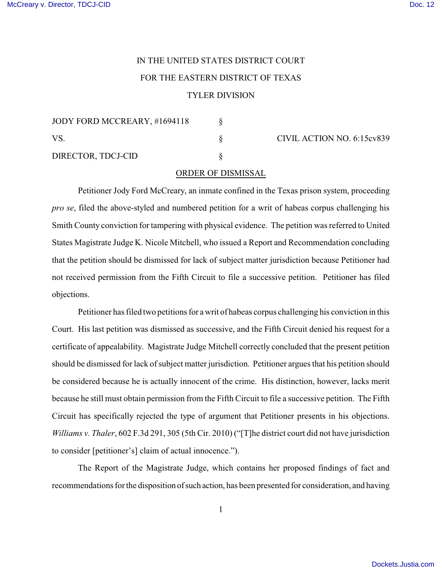## IN THE UNITED STATES DISTRICT COURT FOR THE EASTERN DISTRICT OF TEXAS

## TYLER DIVISION

| JODY FORD MCCREARY, #1694118<br>VS.<br>DIRECTOR, TDCJ-CID |  |
|-----------------------------------------------------------|--|
|                                                           |  |
|                                                           |  |

CIVIL ACTION NO. 6:15cv839

## ORDER OF DISMISSAL

Petitioner Jody Ford McCreary, an inmate confined in the Texas prison system, proceeding *pro se*, filed the above-styled and numbered petition for a writ of habeas corpus challenging his Smith County conviction for tampering with physical evidence. The petition was referred to United States Magistrate Judge K. Nicole Mitchell, who issued a Report and Recommendation concluding that the petition should be dismissed for lack of subject matter jurisdiction because Petitioner had not received permission from the Fifth Circuit to file a successive petition. Petitioner has filed objections.

Petitioner has filed two petitions for a writ of habeas corpus challenging his conviction in this Court. His last petition was dismissed as successive, and the Fifth Circuit denied his request for a certificate of appealability. Magistrate Judge Mitchell correctly concluded that the present petition should be dismissed for lack of subject matter jurisdiction. Petitioner argues that his petition should be considered because he is actually innocent of the crime. His distinction, however, lacks merit because he still must obtain permission from the Fifth Circuit to file a successive petition. The Fifth Circuit has specifically rejected the type of argument that Petitioner presents in his objections. *Williams v. Thaler*, 602 F.3d 291, 305 (5th Cir. 2010) ("[T]he district court did not have jurisdiction to consider [petitioner's] claim of actual innocence.").

The Report of the Magistrate Judge, which contains her proposed findings of fact and recommendations for the disposition of such action, has been presented for consideration, and having